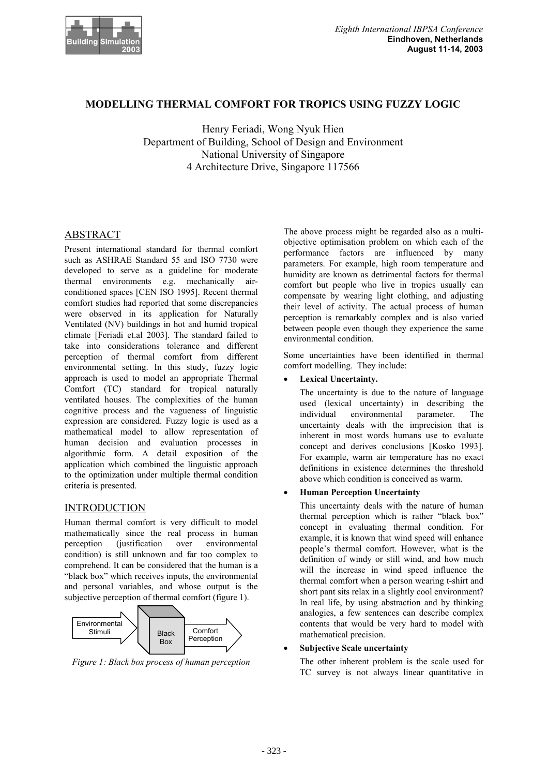

# **MODELLING THERMAL COMFORT FOR TROPICS USING FUZZY LOGIC**

Henry Feriadi, Wong Nyuk Hien Department of Building, School of Design and Environment National University of Singapore 4 Architecture Drive, Singapore 117566

# ABSTRACT

Present international standard for thermal comfort such as ASHRAE Standard 55 and ISO 7730 were developed to serve as a guideline for moderate thermal environments e.g. mechanically airconditioned spaces [CEN ISO 1995]. Recent thermal comfort studies had reported that some discrepancies were observed in its application for Naturally Ventilated (NV) buildings in hot and humid tropical climate [Feriadi et.al 2003]. The standard failed to take into considerations tolerance and different perception of thermal comfort from different environmental setting. In this study, fuzzy logic approach is used to model an appropriate Thermal Comfort (TC) standard for tropical naturally ventilated houses. The complexities of the human cognitive process and the vagueness of linguistic expression are considered. Fuzzy logic is used as a mathematical model to allow representation of human decision and evaluation processes in algorithmic form. A detail exposition of the application which combined the linguistic approach to the optimization under multiple thermal condition criteria is presented.

## INTRODUCTION

Human thermal comfort is very difficult to model mathematically since the real process in human perception (justification over environmental condition) is still unknown and far too complex to comprehend. It can be considered that the human is a "black box" which receives inputs, the environmental and personal variables, and whose output is the subjective perception of thermal comfort (figure 1).



*Figure 1: Black box process of human perception*

The above process might be regarded also as a multiobjective optimisation problem on which each of the performance factors are influenced by many parameters. For example, high room temperature and humidity are known as detrimental factors for thermal comfort but people who live in tropics usually can compensate by wearing light clothing, and adjusting their level of activity. The actual process of human perception is remarkably complex and is also varied between people even though they experience the same environmental condition.

Some uncertainties have been identified in thermal comfort modelling. They include:

**•** Lexical Uncertainty.

The uncertainty is due to the nature of language used (lexical uncertainty) in describing the individual environmental parameter. The uncertainty deals with the imprecision that is inherent in most words humans use to evaluate concept and derives conclusions [Kosko 1993]. For example, warm air temperature has no exact definitions in existence determines the threshold above which condition is conceived as warm.

## x **Human Perception Uncertainty**

This uncertainty deals with the nature of human thermal perception which is rather "black box" concept in evaluating thermal condition. For example, it is known that wind speed will enhance people's thermal comfort. However, what is the definition of windy or still wind, and how much will the increase in wind speed influence the thermal comfort when a person wearing t-shirt and short pant sits relax in a slightly cool environment? In real life, by using abstraction and by thinking analogies, a few sentences can describe complex contents that would be very hard to model with mathematical precision.

#### **Subjective Scale uncertainty**

The other inherent problem is the scale used for TC survey is not always linear quantitative in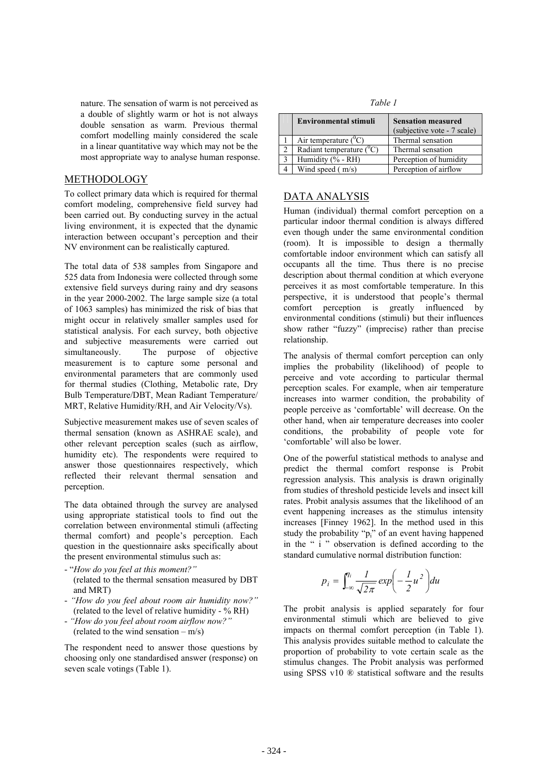nature. The sensation of warm is not perceived as *Table 1* a double of slightly warm or hot is not always double sensation as warm. Previous thermal comfort modelling mainly considered the scale in a linear quantitative way which may not be the most appropriate way to analyse human response.

## METHODOLOGY

To collect primary data which is required for thermal comfort modeling, comprehensive field survey had been carried out. By conducting survey in the actual living environment, it is expected that the dynamic interaction between occupant's perception and their NV environment can be realistically captured.

The total data of 538 samples from Singapore and 525 data from Indonesia were collected through some extensive field surveys during rainy and dry seasons in the year 2000-2002. The large sample size (a total of 1063 samples) has minimized the risk of bias that might occur in relatively smaller samples used for statistical analysis. For each survey, both objective and subjective measurements were carried out simultaneously. The purpose of objective measurement is to capture some personal and environmental parameters that are commonly used for thermal studies (Clothing, Metabolic rate, Dry Bulb Temperature/DBT, Mean Radiant Temperature/ MRT, Relative Humidity/RH, and Air Velocity/Vs).

Subjective measurement makes use of seven scales of thermal sensation (known as ASHRAE scale), and other relevant perception scales (such as airflow, humidity etc). The respondents were required to answer those questionnaires respectively, which reflected their relevant thermal sensation and perception.

The data obtained through the survey are analysed using appropriate statistical tools to find out the correlation between environmental stimuli (affecting thermal comfort) and people's perception. Each question in the questionnaire asks specifically about the present environmental stimulus such as:

- "*How do you feel at this moment?"* (related to the thermal sensation measured by DBT and MRT)
- *"How do you feel about room air humidity now?"*
- *"How do you feel about room airflow now?"* (related to the wind sensation –  $m/s$ )

The respondent need to answer those questions by choosing only one standardised answer (response) on seven scale votings (Table 1).

| <b>Environmental stimuli</b> | <b>Sensation measured</b><br>(subjective vote - 7 scale) |
|------------------------------|----------------------------------------------------------|
| Air temperature $(^0C)$      | Thermal sensation                                        |
| Radiant temperature $(^0C)$  | Thermal sensation                                        |
| Humidity (% - RH)            | Perception of humidity                                   |
| Wind speed $(m/s)$           | Perception of airflow                                    |

# DATA ANALYSIS

Human (individual) thermal comfort perception on a particular indoor thermal condition is always differed even though under the same environmental condition (room). It is impossible to design a thermally comfortable indoor environment which can satisfy all occupants all the time. Thus there is no precise description about thermal condition at which everyone perceives it as most comfortable temperature. In this perspective, it is understood that people's thermal comfort perception is greatly influenced by environmental conditions (stimuli) but their influences show rather "fuzzy" (imprecise) rather than precise relationship.

The analysis of thermal comfort perception can only implies the probability (likelihood) of people to perceive and vote according to particular thermal perception scales. For example, when air temperature increases into warmer condition, the probability of people perceive as 'comfortable' will decrease. On the other hand, when air temperature decreases into cooler conditions, the probability of people vote for 'comfortable' will also be lower.

One of the powerful statistical methods to analyse and predict the thermal comfort response is Probit regression analysis. This analysis is drawn originally from studies of threshold pesticide levels and insect kill rates. Probit analysis assumes that the likelihood of an event happening increases as the stimulus intensity increases [Finney 1962]. In the method used in this study the probability "p<sub>i</sub>" of an event having happened in the " i " observation is defined according to the standard cumulative normal distribution function:

$$
p_i = \int_{-\infty}^{\eta_i} \frac{1}{\sqrt{2\pi}} \exp\left(-\frac{1}{2}u^2\right) du
$$

(related to the level of relative humidity - % RH) The probit analysis is applied separately for four environmental stimuli which are believed to give impacts on thermal comfort perception (in Table 1). This analysis provides suitable method to calculate the proportion of probability to vote certain scale as the stimulus changes. The Probit analysis was performed using SPSS v10 ® statistical software and the results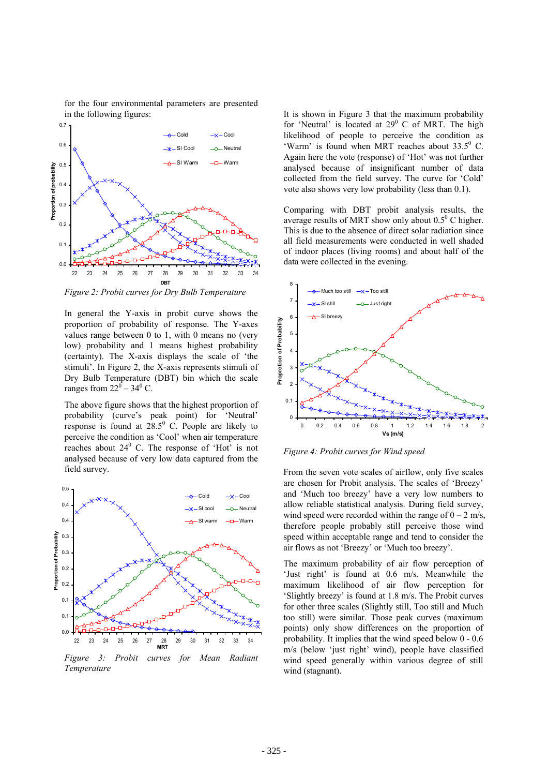for the four environmental parameters are presented in the following figures: It is shown in Figure 3 that the maximum probability



*Figure 2: Probit curves for Dry Bulb Temperature*

In general the Y-axis in probit curve shows the<br>proportion of probability of response. The Y-axes<br>values range between 0 to 1, with 0 means no (very<br>low) probability and 1 means highest probability<br>(certainty). The X-axis proportion of probability of response. The Y-axes values range between 0 to 1, with 0 means no (very low) probability and 1 means highest probability (certainty). The X-axis displays the scale of 'the stimuli'. In Figure 2, the X-axis represents stimuli of Dry Bulb Temperature (DBT) bin which the scale ranges from  $22^0 - 34^0$  C.

The above figure shows that the highest proportion of probability (curve's peak point) for 'Neutral' response is found at  $28.5^{\circ}$  C. People are likely to perceive the condition as 'Cool' when air temperature reaches about  $24^{\circ}$  C. The response of 'Hot' is not analysed because of very low data captured from the field survey.



*Figure 3: Probit curves for Mean Radiant Temperature*

for 'Neutral' is located at  $29^{\circ}$  C of MRT. The high likelihood of people to perceive the condition as 'Warm' is found when MRT reaches about  $33.5^0$  C. Again here the vote (response) of 'Hot' was not further analysed because of insignificant number of data collected from the field survey. The curve for 'Cold' vote also shows very low probability (less than 0.1).

Comparing with DBT probit analysis results, the average results of MRT show only about  $0.5^{\circ}$  C higher. This is due to the absence of direct solar radiation since all field measurements were conducted in well shaded of indoor places (living rooms) and about half of the data were collected in the evening.



*Figure 4: Probit curves for Wind speed*

From the seven vote scales of airflow, only five scales are chosen for Probit analysis. The scales of 'Breezy' and 'Much too breezy' have a very low numbers to allow reliable statistical analysis. During field survey, wind speed were recorded within the range of  $0 - 2$  m/s, therefore people probably still perceive those wind speed within acceptable range and tend to consider the air flows as not 'Breezy' or 'Much too breezy'.

The maximum probability of air flow perception of 'Just right' is found at 0.6 m/s. Meanwhile the maximum likelihood of air flow perception for 'Slightly breezy' is found at 1.8 m/s. The Probit curves for other three scales (Slightly still, Too still and Much too still) were similar. Those peak curves (maximum points) only show differences on the proportion of probability. It implies that the wind speed below 0 - 0.6 m/s (below 'just right' wind), people have classified wind speed generally within various degree of still wind (stagnant).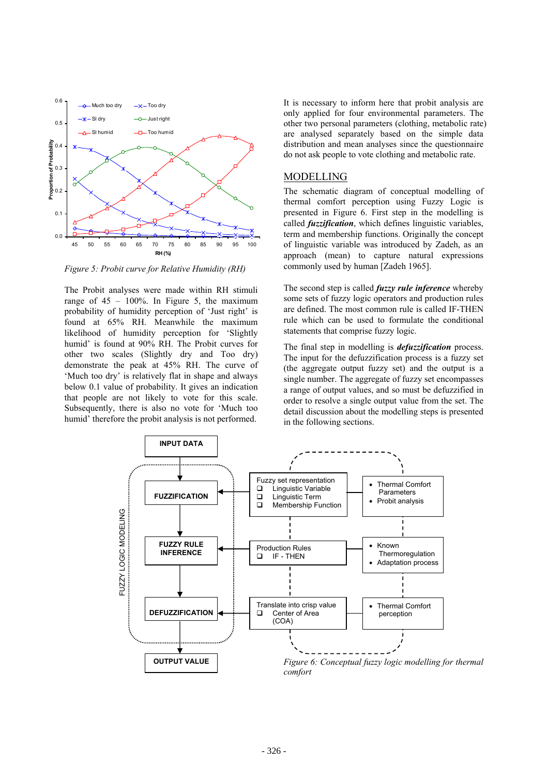

The Probit analyses were made within RH stimuli range of  $45 - 100\%$ . In Figure 5, the maximum probability of humidity perception of 'Just right' is found at 65% RH. Meanwhile the maximum likelihood of humidity perception for 'Slightly humid' is found at 90% RH. The Probit curves for other two scales (Slightly dry and Too dry) demonstrate the peak at 45% RH. The curve of 'Much too dry' is relatively flat in shape and always below 0.1 value of probability. It gives an indication that people are not likely to vote for this scale. Subsequently, there is also no vote for 'Much too humid' therefore the probit analysis is not performed.

It is necessary to inform here that probit analysis are only applied for four environmental parameters. The other two personal parameters (clothing, metabolic rate) are analysed separately based on the simple data distribution and mean analyses since the questionnaire do not ask people to vote clothing and metabolic rate.

## MODELLING

The schematic diagram of conceptual modelling of thermal comfort perception using Fuzzy Logic is presented in Figure 6. First step in the modelling is called *fuzzification*, which defines linguistic variables, term and membership functions. Originally the concept of linguistic variable was introduced by Zadeh, as an approach (mean) to capture natural expressions *Figure 5: Probit curve for Relative Humidity (RH)* commonly used by human [Zadeh 1965].

> The second step is called *fuzzy rule inference* whereby some sets of fuzzy logic operators and production rules are defined. The most common rule is called IF-THEN rule which can be used to formulate the conditional statements that comprise fuzzy logic.

> The final step in modelling is *defuzzification* process. The input for the defuzzification process is a fuzzy set (the aggregate output fuzzy set) and the output is a single number. The aggregate of fuzzy set encompasses a range of output values, and so must be defuzzified in order to resolve a single output value from the set. The detail discussion about the modelling steps is presented in the following sections.

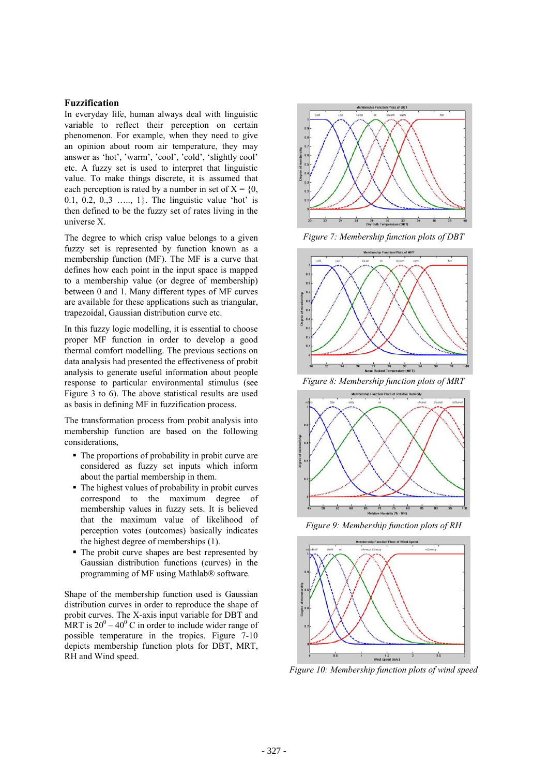#### **Fuzzification**

In everyday life, human always deal with linguistic variable to reflect their perception on certain phenomenon. For example, when they need to give an opinion about room air temperature, they may answer as 'hot', 'warm', 'cool', 'cold', 'slightly cool' etc. A fuzzy set is used to interpret that linguistic value. To make things discrete, it is assumed that each perception is rated by a number in set of  $X = \{0\}$ . 0.1, 0.2, 0.,3 …, 1}. The linguistic value 'hot' is then defined to be the fuzzy set of rates living in the universe X.

The degree to which crisp value belongs to a given *Figure 7: Membership function plots of DBT* fuzzy set is represented by function known as a membership function (MF). The MF is a curve that defines how each point in the input space is mapped to a membership value (or degree of membership) between 0 and 1. Many different types of MF curves are available for these applications such as triangular, trapezoidal, Gaussian distribution curve etc.

In this fuzzy logic modelling, it is essential to choose proper MF function in order to develop a good thermal comfort modelling. The previous sections on data analysis had presented the effectiveness of probit analysis to generate useful information about people response to particular environmental stimulus (see Figure 3 to 6). The above statistical results are used as basis in defining MF in fuzzification process.

The transformation process from probit analysis into membership function are based on the following considerations,

- The proportions of probability in probit curve are considered as fuzzy set inputs which inform about the partial membership in them.
- The highest values of probability in probit curves correspond to the maximum degree of membership values in fuzzy sets. It is believed that the maximum value of likelihood of perception votes (outcomes) basically indicates the highest degree of memberships (1).
- The probit curve shapes are best represented by Gaussian distribution functions (curves) in the programming of MF using Mathlab® software.

Shape of the membership function used is Gaussian distribution curves in order to reproduce the shape of probit curves. The X-axis input variable for DBT and MRT is  $20^0 - 40^0$  C in order to include wider range of possible temperature in the tropics. Figure 7-10 depicts membership function plots for DBT, MRT, RH and Wind speed.





*Figure 8: Membership function plots of MRT*



*Figure 9: Membership function plots of RH*



*Figure 10: Membership function plots of wind speed*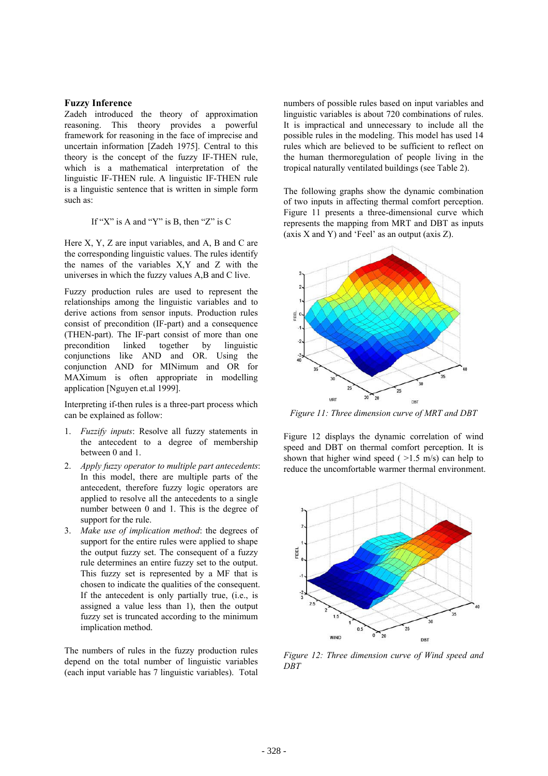#### **Fuzzy Inference**

Zadeh introduced the theory of approximation reasoning. This theory provides a powerful framework for reasoning in the face of imprecise and uncertain information [Zadeh 1975]. Central to this theory is the concept of the fuzzy IF-THEN rule, which is a mathematical interpretation of the linguistic IF-THEN rule. A linguistic IF-THEN rule is a linguistic sentence that is written in simple form such as:

### If "X" is A and "Y" is B, then "Z" is C

Here X, Y, Z are input variables, and A, B and C are the corresponding linguistic values. The rules identify the names of the variables X,Y and Z with the universes in which the fuzzy values A,B and C live.

Fuzzy production rules are used to represent the relationships among the linguistic variables and to derive actions from sensor inputs. Production rules consist of precondition (IF-part) and a consequence (THEN-part). The IF-part consist of more than one precondition linked together by linguistic conjunctions like AND and OR. Using the conjunction AND for MINimum and OR for MAXimum is often appropriate in modelling application [Nguyen et.al 1999].

Interpreting if-then rules is a three-part process which can be explained as follow:

- 1. *Fuzzify inputs*: Resolve all fuzzy statements in the antecedent to a degree of membership between 0 and 1.
- 2. *Apply fuzzy operator to multiple part antecedents*: In this model, there are multiple parts of the antecedent, therefore fuzzy logic operators are applied to resolve all the antecedents to a single number between 0 and 1. This is the degree of support for the rule.
- 3. *Make use of implication method*: the degrees of support for the entire rules were applied to shape the output fuzzy set. The consequent of a fuzzy rule determines an entire fuzzy set to the output. This fuzzy set is represented by a MF that is chosen to indicate the qualities of the consequent. If the antecedent is only partially true, (i.e., is assigned a value less than 1), then the output fuzzy set is truncated according to the minimum implication method.

The numbers of rules in the fuzzy production rules depend on the total number of linguistic variables (each input variable has 7 linguistic variables). Total numbers of possible rules based on input variables and linguistic variables is about 720 combinations of rules. It is impractical and unnecessary to include all the possible rules in the modeling. This model has used 14 rules which are believed to be sufficient to reflect on the human thermoregulation of people living in the tropical naturally ventilated buildings (see Table 2).

The following graphs show the dynamic combination of two inputs in affecting thermal comfort perception. Figure 11 presents a three-dimensional curve which represents the mapping from MRT and DBT as inputs (axis  $X$  and  $Y$ ) and 'Feel' as an output (axis  $Z$ ).



*Figure 11: Three dimension curve of MRT and DBT*

Figure 12 displays the dynamic correlation of wind speed and DBT on thermal comfort perception. It is shown that higher wind speed ( $>1.5$  m/s) can help to reduce the uncomfortable warmer thermal environment.



*Figure 12: Three dimension curve of Wind speed and DBT*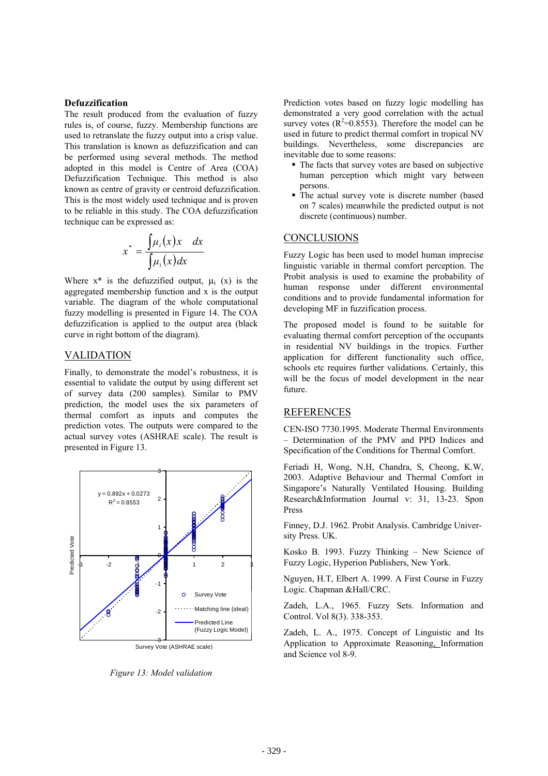The result produced from the evaluation of fuzzy rules is, of course, fuzzy. Membership functions are used to retranslate the fuzzy output into a crisp value. This translation is known as defuzzification and can be performed using several methods. The method adopted in this model is Centre of Area (COA) Defuzzification Technique. This method is also known as centre of gravity or centroid defuzzification. This is the most widely used technique and is proven to be reliable in this study. The COA defuzzification technique can be expressed as:

$$
x^* = \frac{\int \mu_i(x)x \, dx}{\int \mu_i(x) dx}
$$

Where  $x^*$  is the defuzzified output,  $\mu_i$  (x) is the aggregated membership function and x is the output variable. The diagram of the whole computational fuzzy modelling is presented in Figure 14. The COA defuzzification is applied to the output area (black curve in right bottom of the diagram).

## VALIDATION

Finally, to demonstrate the model's robustness, it is essential to validate the output by using different set of survey data (200 samples). Similar to PMV prediction, the model uses the six parameters of thermal comfort as inputs and computes the prediction votes. The outputs were compared to the actual survey votes (ASHRAE scale). The result is presented in Figure 13.



*Figure 13: Model validation*

**Defuzzification Prediction** Prediction votes based on fuzzy logic modelling has demonstrated a very good correlation with the actual survey votes  $(R^2=0.8553)$ . Therefore the model can be used in future to predict thermal comfort in tropical NV buildings. Nevertheless, some discrepancies are inevitable due to some reasons:

- The facts that survey votes are based on subjective human perception which might vary between persons.
- The actual survey vote is discrete number (based on 7 scales) meanwhile the predicted output is not discrete (continuous) number.

# **CONCLUSIONS**

Fuzzy Logic has been used to model human imprecise linguistic variable in thermal comfort perception. The Probit analysis is used to examine the probability of human response under different environmental conditions and to provide fundamental information for developing MF in fuzzification process.

The proposed model is found to be suitable for evaluating thermal comfort perception of the occupants in residential NV buildings in the tropics. Further application for different functionality such office, schools etc requires further validations. Certainly, this will be the focus of model development in the near future.

# **REFERENCES**

CEN-ISO 7730.1995. Moderate Thermal Environments – Determination of the PMV and PPD Indices and Specification of the Conditions for Thermal Comfort.

Feriadi H, Wong, N.H, Chandra, S, Cheong, K.W, 2003. Adaptive Behaviour and Thermal Comfort in Singapore's Naturally Ventilated Housing. Building Research&Information Journal v: 31, 13-23. Spon Press

Finney, D.J. 1962. Probit Analysis. Cambridge University Press. UK.

Kosko B. 1993. Fuzzy Thinking – New Science of Fuzzy Logic, Hyperion Publishers, New York.

Nguyen, H.T, Elbert A. 1999. A First Course in Fuzzy Logic. Chapman &Hall/CRC.

Zadeh, L.A., 1965. Fuzzy Sets. Information and Control. Vol 8(3). 338-353.

Zadeh, L. A., 1975. Concept of Linguistic and Its Application to Approximate Reasoning, Information and Science vol 8-9.